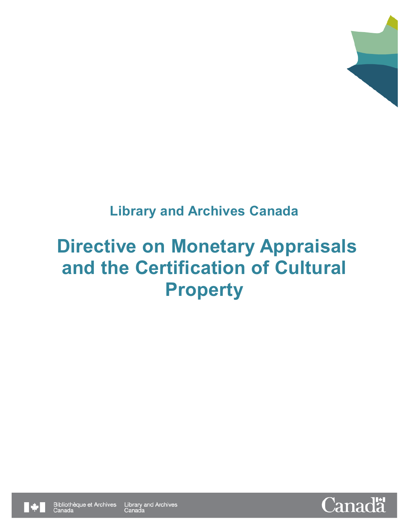

# **Library and Archives Canada**

# **Directive on Monetary Appraisals and the Certification of Cultural Property**



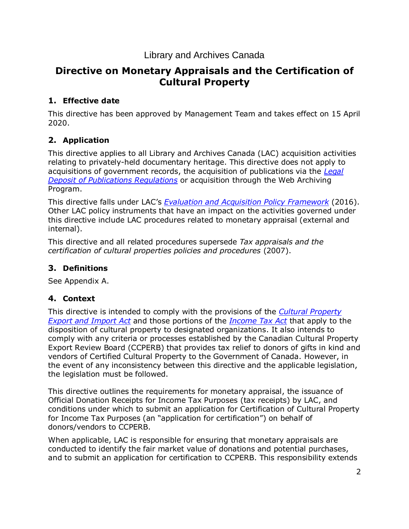### Library and Archives Canada

## **Directive on Monetary Appraisals and the Certification of Cultural Property**

#### **1. Effective date**

This directive has been approved by Management Team and takes effect on 15 April 2020.

#### **2. Application**

This directive applies to all Library and Archives Canada (LAC) acquisition activities relating to privately-held documentary heritage. This directive does not apply to acquisitions of government records, the acquisition of publications via the *[Legal](https://laws-lois.justice.gc.ca/eng/regulations/sor-2006-337/index.html)  [Deposit of Publications Regulations](https://laws-lois.justice.gc.ca/eng/regulations/sor-2006-337/index.html)* or acquisition through the Web Archiving Program.

This directive falls under LAC's *[Evaluation and Acquisition Policy Framework](https://www.bac-lac.gc.ca/eng/about-us/policy/Pages/evaluation-acquisition-policy-framework.aspx)* (2016). Other LAC policy instruments that have an impact on the activities governed under this directive include LAC procedures related to monetary appraisal (external and internal).

This directive and all related procedures supersede *Tax appraisals and the certification of cultural properties policies and procedures* (2007).

#### **3. Definitions**

See Appendix A.

#### **4. Context**

This directive is intended to comply with the provisions of the *[Cultural Property](https://laws-lois.justice.gc.ca/eng/acts/c-51/)  [Export and Import Act](https://laws-lois.justice.gc.ca/eng/acts/c-51/)* and those portions of the *[Income Tax Act](https://laws-lois.justice.gc.ca/eng/acts/I-3.3/)* that apply to the disposition of cultural property to designated organizations. It also intends to comply with any criteria or processes established by the Canadian Cultural Property Export Review Board (CCPERB) that provides tax relief to donors of gifts in kind and vendors of Certified Cultural Property to the Government of Canada. However, in the event of any inconsistency between this directive and the applicable legislation, the legislation must be followed.

This directive outlines the requirements for monetary appraisal, the issuance of Official Donation Receipts for Income Tax Purposes (tax receipts) by LAC, and conditions under which to submit an application for Certification of Cultural Property for Income Tax Purposes (an "application for certification") on behalf of donors/vendors to CCPERB.

When applicable, LAC is responsible for ensuring that monetary appraisals are conducted to identify the fair market value of donations and potential purchases, and to submit an application for certification to CCPERB. This responsibility extends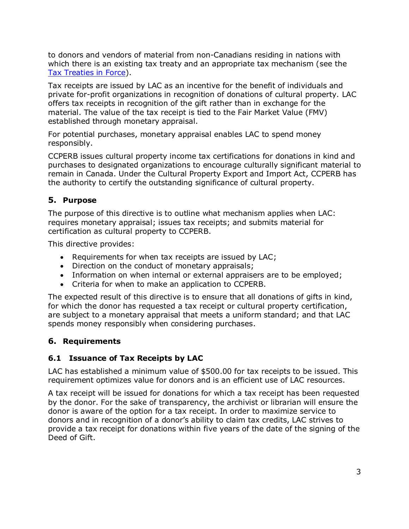to donors and vendors of material from non-Canadians residing in nations with which there is an existing tax treaty and an appropriate tax mechanism (see the [Tax Treaties in Force\)](https://www.fin.gc.ca/treaties-conventions/in_force--eng.asp).

Tax receipts are issued by LAC as an incentive for the benefit of individuals and private for-profit organizations in recognition of donations of cultural property. LAC offers tax receipts in recognition of the gift rather than in exchange for the material. The value of the tax receipt is tied to the Fair Market Value (FMV) established through monetary appraisal.

For potential purchases, monetary appraisal enables LAC to spend money responsibly.

CCPERB issues cultural property income tax certifications for donations in kind and purchases to designated organizations to encourage culturally significant material to remain in Canada. Under the Cultural Property Export and Import Act, CCPERB has the authority to certify the outstanding significance of cultural property.

#### **5. Purpose**

The purpose of this directive is to outline what mechanism applies when LAC: requires monetary appraisal; issues tax receipts; and submits material for certification as cultural property to CCPERB.

This directive provides:

- Requirements for when tax receipts are issued by LAC;
- Direction on the conduct of monetary appraisals;
- Information on when internal or external appraisers are to be employed;
- Criteria for when to make an application to CCPERB.

The expected result of this directive is to ensure that all donations of gifts in kind, for which the donor has requested a tax receipt or cultural property certification, are subject to a monetary appraisal that meets a uniform standard; and that LAC spends money responsibly when considering purchases.

#### **6. Requirements**

#### **6.1 Issuance of Tax Receipts by LAC**

LAC has established a minimum value of \$500.00 for tax receipts to be issued. This requirement optimizes value for donors and is an efficient use of LAC resources.

A tax receipt will be issued for donations for which a tax receipt has been requested by the donor. For the sake of transparency, the archivist or librarian will ensure the donor is aware of the option for a tax receipt. In order to maximize service to donors and in recognition of a donor's ability to claim tax credits, LAC strives to provide a tax receipt for donations within five years of the date of the signing of the Deed of Gift.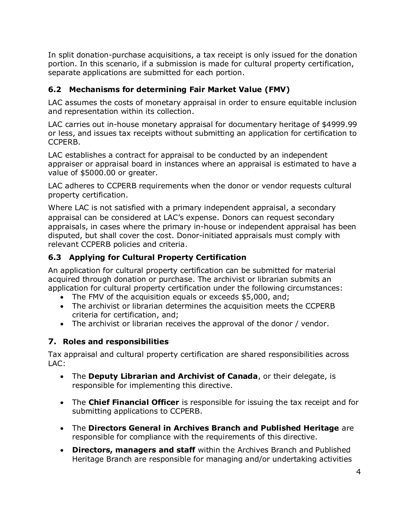In split donation-purchase acquisitions, a tax receipt is only issued for the donation portion. In this scenario, if a submission is made for cultural property certification, separate applications are submitted for each portion.

#### **6.2 Mechanisms for determining Fair Market Value (FMV)**

LAC assumes the costs of monetary appraisal in order to ensure equitable inclusion and representation within its collection.

LAC carries out in-house monetary appraisal for documentary heritage of \$4999.99 or less, and issues tax receipts without submitting an application for certification to CCPERB.

LAC establishes a contract for appraisal to be conducted by an independent appraiser or appraisal board in instances where an appraisal is estimated to have a value of \$5000.00 or greater.

LAC adheres to CCPERB requirements when the donor or vendor requests cultural property certification.

Where LAC is not satisfied with a primary independent appraisal, a secondary appraisal can be considered at LAC's expense. Donors can request secondary appraisals, in cases where the primary in-house or independent appraisal has been disputed, but shall cover the cost. Donor-initiated appraisals must comply with relevant CCPERB policies and criteria.

#### **6.3 Applying for Cultural Property Certification**

An application for cultural property certification can be submitted for material acquired through donation or purchase. The archivist or librarian submits an application for cultural property certification under the following circumstances:

- The FMV of the acquisition equals or exceeds \$5,000, and;
- The archivist or librarian determines the acquisition meets the CCPERB criteria for certification, and;
- The archivist or librarian receives the approval of the donor / vendor.

#### **7. Roles and responsibilities**

Tax appraisal and cultural property certification are shared responsibilities across LAC:

- The **Deputy Librarian and Archivist of Canada**, or their delegate, is responsible for implementing this directive.
- The **Chief Financial Officer** is responsible for issuing the tax receipt and for submitting applications to CCPERB.
- The **Directors General in Archives Branch and Published Heritage** are responsible for compliance with the requirements of this directive.
- **Directors, managers and staff** within the Archives Branch and Published Heritage Branch are responsible for managing and/or undertaking activities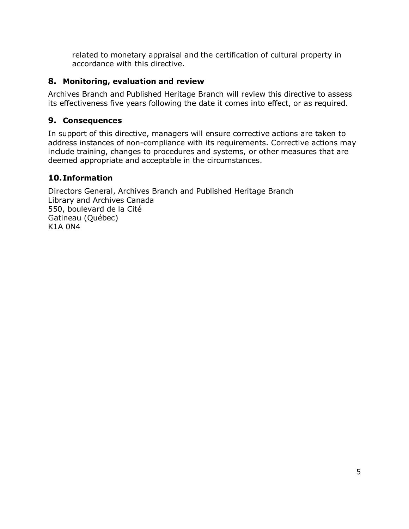related to monetary appraisal and the certification of cultural property in accordance with this directive.

#### **8. Monitoring, evaluation and review**

Archives Branch and Published Heritage Branch will review this directive to assess its effectiveness five years following the date it comes into effect, or as required.

#### **9. Consequences**

In support of this directive, managers will ensure corrective actions are taken to address instances of non-compliance with its requirements. Corrective actions may include training, changes to procedures and systems, or other measures that are deemed appropriate and acceptable in the circumstances.

#### **10.Information**

Directors General, Archives Branch and Published Heritage Branch Library and Archives Canada 550, boulevard de la Cité Gatineau (Québec) K1A 0N4